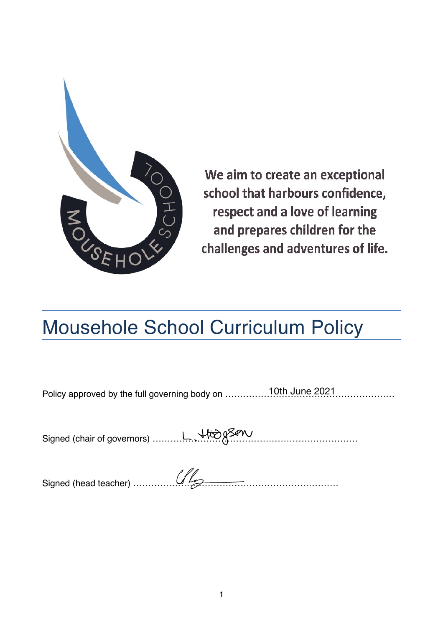

We aim to create an exceptional school that harbours confidence, respect and a love of learning and prepares children for the challenges and adventures of life.

# Mousehole School Curriculum Policy

Policy approved by the full governing body on ………………………………………………… 10th June 2021

Signed (chair of governors) ……………………………………………………………

Signed (head teacher) ……………………………………………………………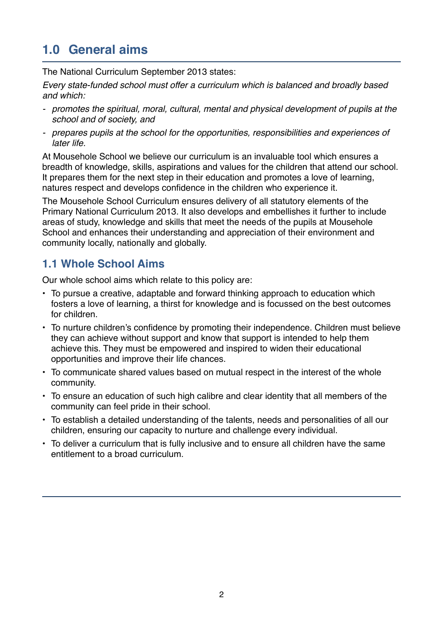# **1.0 General aims**

The National Curriculum September 2013 states:

*Every state-funded school must offer a curriculum which is balanced and broadly based and which:*

- *- promotes the spiritual, moral, cultural, mental and physical development of pupils at the school and of society, and*
- *- prepares pupils at the school for the opportunities, responsibilities and experiences of later life.*

At Mousehole School we believe our curriculum is an invaluable tool which ensures a breadth of knowledge, skills, aspirations and values for the children that attend our school. It prepares them for the next step in their education and promotes a love of learning, natures respect and develops confidence in the children who experience it.

The Mousehole School Curriculum ensures delivery of all statutory elements of the Primary National Curriculum 2013. It also develops and embellishes it further to include areas of study, knowledge and skills that meet the needs of the pupils at Mousehole School and enhances their understanding and appreciation of their environment and community locally, nationally and globally.

#### **1.1 Whole School Aims**

Our whole school aims which relate to this policy are:

- To pursue a creative, adaptable and forward thinking approach to education which fosters a love of learning, a thirst for knowledge and is focussed on the best outcomes for children.
- To nurture children's confidence by promoting their independence. Children must believe they can achieve without support and know that support is intended to help them achieve this. They must be empowered and inspired to widen their educational opportunities and improve their life chances.
- To communicate shared values based on mutual respect in the interest of the whole community.
- To ensure an education of such high calibre and clear identity that all members of the community can feel pride in their school.
- To establish a detailed understanding of the talents, needs and personalities of all our children, ensuring our capacity to nurture and challenge every individual.
- To deliver a curriculum that is fully inclusive and to ensure all children have the same entitlement to a broad curriculum.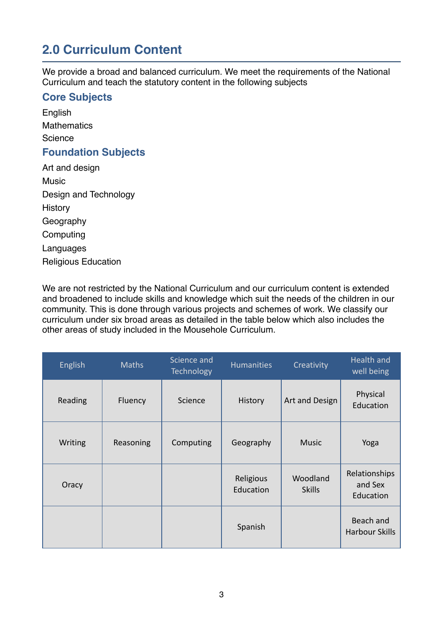# **2.0 Curriculum Content**

We provide a broad and balanced curriculum. We meet the requirements of the National Curriculum and teach the statutory content in the following subjects

#### **Core Subjects**

English **Mathematics** Science **Foundation Subjects**

Art and design Music Design and Technology **History** Geography Computing Languages Religious Education

We are not restricted by the National Curriculum and our curriculum content is extended and broadened to include skills and knowledge which suit the needs of the children in our community. This is done through various projects and schemes of work. We classify our curriculum under six broad areas as detailed in the table below which also includes the other areas of study included in the Mousehole Curriculum.

| English | <b>Maths</b> | Science and<br>Technology | <b>Humanities</b>      | Creativity                | <b>Health and</b><br>well being       |
|---------|--------------|---------------------------|------------------------|---------------------------|---------------------------------------|
| Reading | Fluency      | Science                   | History                | Art and Design            | Physical<br>Education                 |
| Writing | Reasoning    | Computing                 | Geography              | <b>Music</b>              | Yoga                                  |
| Oracy   |              |                           | Religious<br>Education | Woodland<br><b>Skills</b> | Relationships<br>and Sex<br>Education |
|         |              |                           | Spanish                |                           | Beach and<br><b>Harbour Skills</b>    |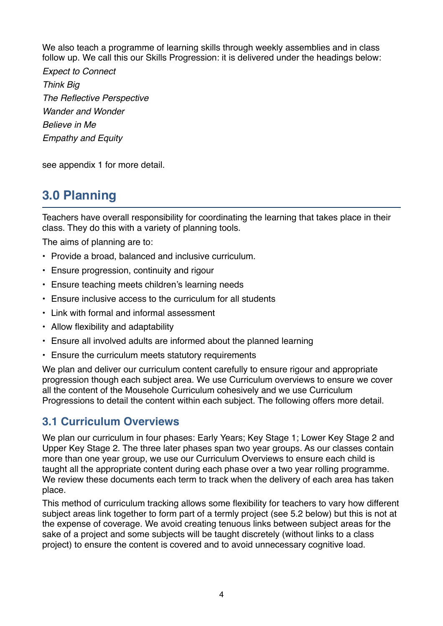We also teach a programme of learning skills through weekly assemblies and in class follow up. We call this our Skills Progression: it is delivered under the headings below:

*Expect to Connect Think Big The Reflective Perspective Wander and Wonder Believe in Me Empathy and Equity*

see appendix 1 for more detail.

# **3.0 Planning**

Teachers have overall responsibility for coordinating the learning that takes place in their class. They do this with a variety of planning tools.

The aims of planning are to:

- Provide a broad, balanced and inclusive curriculum.
- Ensure progression, continuity and rigour
- Ensure teaching meets children's learning needs
- Ensure inclusive access to the curriculum for all students
- Link with formal and informal assessment
- Allow flexibility and adaptability
- Ensure all involved adults are informed about the planned learning
- Ensure the curriculum meets statutory requirements

We plan and deliver our curriculum content carefully to ensure rigour and appropriate progression though each subject area. We use Curriculum overviews to ensure we cover all the content of the Mousehole Curriculum cohesively and we use Curriculum Progressions to detail the content within each subject. The following offers more detail.

#### **3.1 Curriculum Overviews**

We plan our curriculum in four phases: Early Years; Key Stage 1; Lower Key Stage 2 and Upper Key Stage 2. The three later phases span two year groups. As our classes contain more than one year group, we use our Curriculum Overviews to ensure each child is taught all the appropriate content during each phase over a two year rolling programme. We review these documents each term to track when the delivery of each area has taken place.

This method of curriculum tracking allows some flexibility for teachers to vary how different subject areas link together to form part of a termly project (see 5.2 below) but this is not at the expense of coverage. We avoid creating tenuous links between subject areas for the sake of a project and some subjects will be taught discretely (without links to a class project) to ensure the content is covered and to avoid unnecessary cognitive load.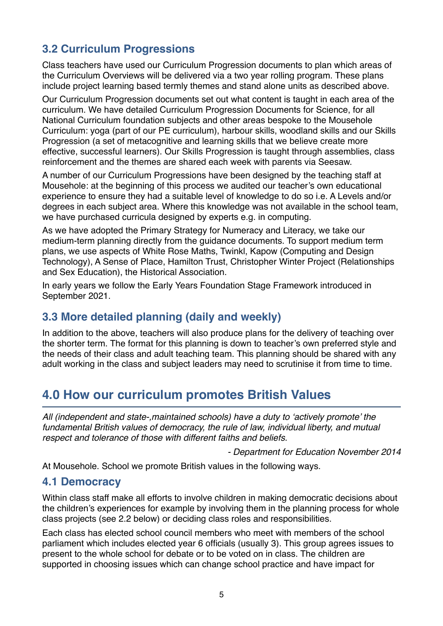## **3.2 Curriculum Progressions**

Class teachers have used our Curriculum Progression documents to plan which areas of the Curriculum Overviews will be delivered via a two year rolling program. These plans include project learning based termly themes and stand alone units as described above.

Our Curriculum Progression documents set out what content is taught in each area of the curriculum. We have detailed Curriculum Progression Documents for Science, for all National Curriculum foundation subjects and other areas bespoke to the Mousehole Curriculum: yoga (part of our PE curriculum), harbour skills, woodland skills and our Skills Progression (a set of metacognitive and learning skills that we believe create more effective, successful learners). Our Skills Progression is taught through assemblies, class reinforcement and the themes are shared each week with parents via Seesaw.

A number of our Curriculum Progressions have been designed by the teaching staff at Mousehole: at the beginning of this process we audited our teacher's own educational experience to ensure they had a suitable level of knowledge to do so i.e. A Levels and/or degrees in each subject area. Where this knowledge was not available in the school team, we have purchased curricula designed by experts e.g. in computing.

As we have adopted the Primary Strategy for Numeracy and Literacy, we take our medium-term planning directly from the guidance documents. To support medium term plans, we use aspects of White Rose Maths, Twinkl, Kapow (Computing and Design Technology), A Sense of Place, Hamilton Trust, Christopher Winter Project (Relationships and Sex Education), the Historical Association.

In early years we follow the Early Years Foundation Stage Framework introduced in September 2021.

#### **3.3 More detailed planning (daily and weekly)**

In addition to the above, teachers will also produce plans for the delivery of teaching over the shorter term. The format for this planning is down to teacher's own preferred style and the needs of their class and adult teaching team. This planning should be shared with any adult working in the class and subject leaders may need to scrutinise it from time to time.

# **4.0 How our curriculum promotes British Values**

*All (independent and state-,maintained schools) have a duty to 'actively promote' the fundamental British values of democracy, the rule of law, individual liberty, and mutual respect and tolerance of those with different faiths and beliefs.*

*- Department for Education November 2014*

At Mousehole. School we promote British values in the following ways.

#### **4.1 Democracy**

Within class staff make all efforts to involve children in making democratic decisions about the children's experiences for example by involving them in the planning process for whole class projects (see 2.2 below) or deciding class roles and responsibilities.

Each class has elected school council members who meet with members of the school parliament which includes elected year 6 officials (usually 3). This group agrees issues to present to the whole school for debate or to be voted on in class. The children are supported in choosing issues which can change school practice and have impact for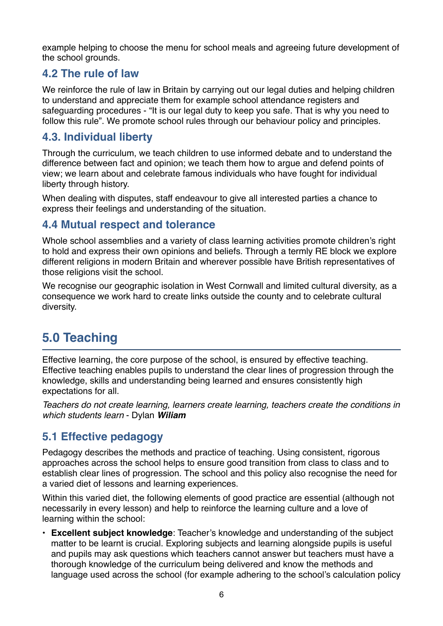example helping to choose the menu for school meals and agreeing future development of the school grounds.

#### **4.2 The rule of law**

We reinforce the rule of law in Britain by carrying out our legal duties and helping children to understand and appreciate them for example school attendance registers and safeguarding procedures - "It is our legal duty to keep you safe. That is why you need to follow this rule". We promote school rules through our behaviour policy and principles.

#### **4.3. Individual liberty**

Through the curriculum, we teach children to use informed debate and to understand the difference between fact and opinion; we teach them how to argue and defend points of view; we learn about and celebrate famous individuals who have fought for individual liberty through history.

When dealing with disputes, staff endeavour to give all interested parties a chance to express their feelings and understanding of the situation.

#### **4.4 Mutual respect and tolerance**

Whole school assemblies and a variety of class learning activities promote children's right to hold and express their own opinions and beliefs. Through a termly RE block we explore different religions in modern Britain and wherever possible have British representatives of those religions visit the school.

We recognise our geographic isolation in West Cornwall and limited cultural diversity, as a consequence we work hard to create links outside the county and to celebrate cultural diversity.

# **5.0 Teaching**

Effective learning, the core purpose of the school, is ensured by effective teaching. Effective teaching enables pupils to understand the clear lines of progression through the knowledge, skills and understanding being learned and ensures consistently high expectations for all.

*Teachers do not create learning, learners create learning, teachers create the conditions in which students learn* - Dylan *Wiliam*

#### **5.1 Effective pedagogy**

Pedagogy describes the methods and practice of teaching. Using consistent, rigorous approaches across the school helps to ensure good transition from class to class and to establish clear lines of progression. The school and this policy also recognise the need for a varied diet of lessons and learning experiences.

Within this varied diet, the following elements of good practice are essential (although not necessarily in every lesson) and help to reinforce the learning culture and a love of learning within the school:

• **Excellent subject knowledge**: Teacher's knowledge and understanding of the subject matter to be learnt is crucial. Exploring subjects and learning alongside pupils is useful and pupils may ask questions which teachers cannot answer but teachers must have a thorough knowledge of the curriculum being delivered and know the methods and language used across the school (for example adhering to the school's calculation policy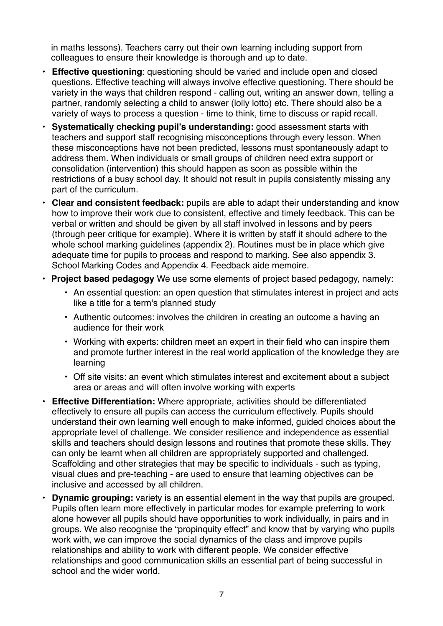in maths lessons). Teachers carry out their own learning including support from colleagues to ensure their knowledge is thorough and up to date.

- **Effective questioning**: questioning should be varied and include open and closed questions. Effective teaching will always involve effective questioning. There should be variety in the ways that children respond - calling out, writing an answer down, telling a partner, randomly selecting a child to answer (lolly lotto) etc. There should also be a variety of ways to process a question - time to think, time to discuss or rapid recall.
- **• Systematically checking pupil's understanding:** good assessment starts with teachers and support staff recognising misconceptions through every lesson. When these misconceptions have not been predicted, lessons must spontaneously adapt to address them. When individuals or small groups of children need extra support or consolidation (intervention) this should happen as soon as possible within the restrictions of a busy school day. It should not result in pupils consistently missing any part of the curriculum.
- **• Clear and consistent feedback:** pupils are able to adapt their understanding and know how to improve their work due to consistent, effective and timely feedback. This can be verbal or written and should be given by all staff involved in lessons and by peers (through peer critique for example). Where it is written by staff it should adhere to the whole school marking guidelines (appendix 2). Routines must be in place which give adequate time for pupils to process and respond to marking. See also appendix 3. School Marking Codes and Appendix 4. Feedback aide memoire.
- **Project based pedagogy** We use some elements of project based pedagogy, namely:
	- An essential question: an open question that stimulates interest in project and acts like a title for a term's planned study
	- Authentic outcomes: involves the children in creating an outcome a having an audience for their work
	- Working with experts: children meet an expert in their field who can inspire them and promote further interest in the real world application of the knowledge they are learning
	- Off site visits: an event which stimulates interest and excitement about a subject area or areas and will often involve working with experts
- **• Effective Differentiation:** Where appropriate, activities should be differentiated effectively to ensure all pupils can access the curriculum effectively. Pupils should understand their own learning well enough to make informed, guided choices about the appropriate level of challenge. We consider resilience and independence as essential skills and teachers should design lessons and routines that promote these skills. They can only be learnt when all children are appropriately supported and challenged. Scaffolding and other strategies that may be specific to individuals - such as typing, visual clues and pre-teaching - are used to ensure that learning objectives can be inclusive and accessed by all children.
- **• Dynamic grouping:** variety is an essential element in the way that pupils are grouped. Pupils often learn more effectively in particular modes for example preferring to work alone however all pupils should have opportunities to work individually, in pairs and in groups. We also recognise the "propinquity effect" and know that by varying who pupils work with, we can improve the social dynamics of the class and improve pupils relationships and ability to work with different people. We consider effective relationships and good communication skills an essential part of being successful in school and the wider world.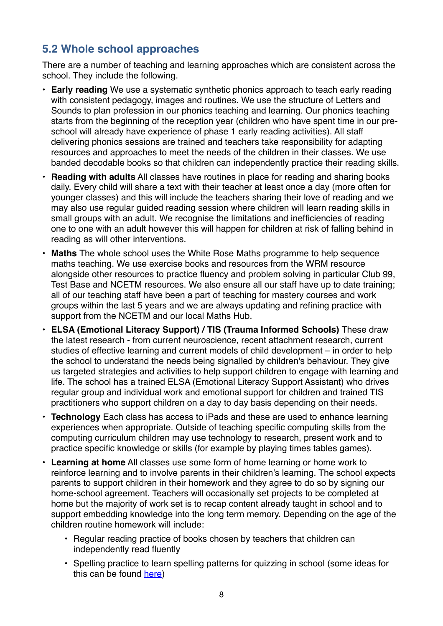### **5.2 Whole school approaches**

There are a number of teaching and learning approaches which are consistent across the school. They include the following.

- **Early reading** We use a systematic synthetic phonics approach to teach early reading with consistent pedagogy, images and routines. We use the structure of Letters and Sounds to plan profession in our phonics teaching and learning. Our phonics teaching starts from the beginning of the reception year (children who have spent time in our preschool will already have experience of phase 1 early reading activities). All staff delivering phonics sessions are trained and teachers take responsibility for adapting resources and approaches to meet the needs of the children in their classes. We use banded decodable books so that children can independently practice their reading skills.
- **Reading with adults** All classes have routines in place for reading and sharing books daily. Every child will share a text with their teacher at least once a day (more often for younger classes) and this will include the teachers sharing their love of reading and we may also use regular guided reading session where children will learn reading skills in small groups with an adult. We recognise the limitations and inefficiencies of reading one to one with an adult however this will happen for children at risk of falling behind in reading as will other interventions.
- **Maths** The whole school uses the White Rose Maths programme to help sequence maths teaching. We use exercise books and resources from the WRM resource alongside other resources to practice fluency and problem solving in particular Club 99, Test Base and NCETM resources. We also ensure all our staff have up to date training; all of our teaching staff have been a part of teaching for mastery courses and work groups within the last 5 years and we are always updating and refining practice with support from the NCETM and our local Maths Hub.
- **ELSA (Emotional Literacy Support) / TIS (Trauma Informed Schools)** These draw the latest research - from current neuroscience, recent attachment research, current studies of effective learning and current models of child development – in order to help the school to understand the needs being signalled by children's behaviour. They give us targeted strategies and activities to help support children to engage with learning and life. The school has a trained ELSA (Emotional Literacy Support Assistant) who drives regular group and individual work and emotional support for children and trained TIS practitioners who support children on a day to day basis depending on their needs.
- **Technology** Each class has access to iPads and these are used to enhance learning experiences when appropriate. Outside of teaching specific computing skills from the computing curriculum children may use technology to research, present work and to practice specific knowledge or skills (for example by playing times tables games).
- **Learning at home** All classes use some form of home learning or home work to reinforce learning and to involve parents in their children's learning. The school expects parents to support children in their homework and they agree to do so by signing our home-school agreement. Teachers will occasionally set projects to be completed at home but the majority of work set is to recap content already taught in school and to support embedding knowledge into the long term memory. Depending on the age of the children routine homework will include:
	- Regular reading practice of books chosen by teachers that children can independently read fluently
	- Spelling practice to learn spelling patterns for quizzing in school (some ideas for this can be found [here](https://mousehole.eschools.co.uk/website/helping_learning_at_home/401230))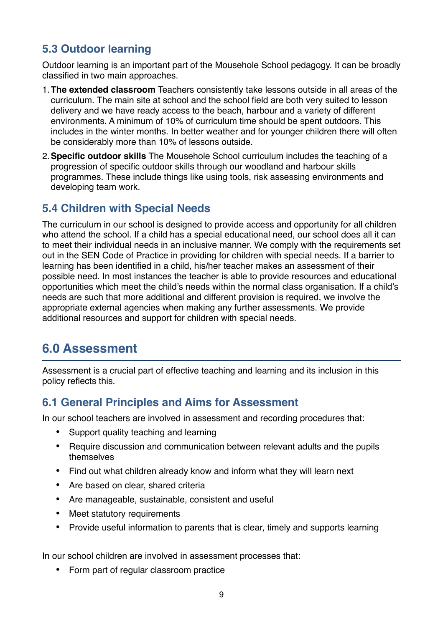## **5.3 Outdoor learning**

Outdoor learning is an important part of the Mousehole School pedagogy. It can be broadly classified in two main approaches.

- 1.**The extended classroom** Teachers consistently take lessons outside in all areas of the curriculum. The main site at school and the school field are both very suited to lesson delivery and we have ready access to the beach, harbour and a variety of different environments. A minimum of 10% of curriculum time should be spent outdoors. This includes in the winter months. In better weather and for younger children there will often be considerably more than 10% of lessons outside.
- 2.**Specific outdoor skills** The Mousehole School curriculum includes the teaching of a progression of specific outdoor skills through our woodland and harbour skills programmes. These include things like using tools, risk assessing environments and developing team work.

#### **5.4 Children with Special Needs**

The curriculum in our school is designed to provide access and opportunity for all children who attend the school. If a child has a special educational need, our school does all it can to meet their individual needs in an inclusive manner. We comply with the requirements set out in the SEN Code of Practice in providing for children with special needs. If a barrier to learning has been identified in a child, his/her teacher makes an assessment of their possible need. In most instances the teacher is able to provide resources and educational opportunities which meet the child's needs within the normal class organisation. If a child's needs are such that more additional and different provision is required, we involve the appropriate external agencies when making any further assessments. We provide additional resources and support for children with special needs.

## **6.0 Assessment**

Assessment is a crucial part of effective teaching and learning and its inclusion in this policy reflects this.

#### **6.1 General Principles and Aims for Assessment**

In our school teachers are involved in assessment and recording procedures that:

- Support quality teaching and learning
- Require discussion and communication between relevant adults and the pupils themselves
- Find out what children already know and inform what they will learn next
- Are based on clear, shared criteria
- Are manageable, sustainable, consistent and useful
- Meet statutory requirements
- Provide useful information to parents that is clear, timely and supports learning

In our school children are involved in assessment processes that:

• Form part of regular classroom practice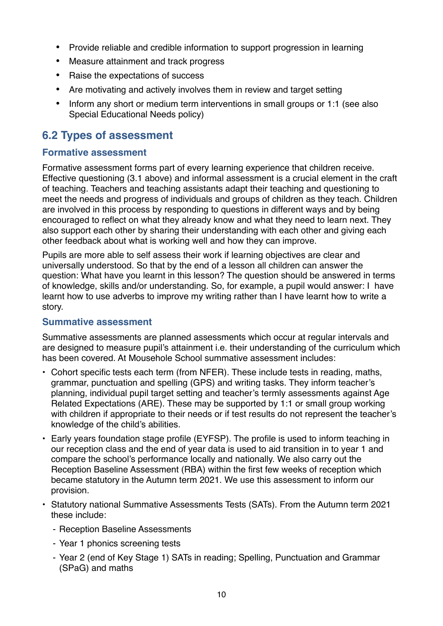- Provide reliable and credible information to support progression in learning
- Measure attainment and track progress
- Raise the expectations of success
- Are motivating and actively involves them in review and target setting
- Inform any short or medium term interventions in small groups or 1:1 (see also Special Educational Needs policy)

#### **6.2 Types of assessment**

#### **Formative assessment**

Formative assessment forms part of every learning experience that children receive. Effective questioning (3.1 above) and informal assessment is a crucial element in the craft of teaching. Teachers and teaching assistants adapt their teaching and questioning to meet the needs and progress of individuals and groups of children as they teach. Children are involved in this process by responding to questions in different ways and by being encouraged to reflect on what they already know and what they need to learn next. They also support each other by sharing their understanding with each other and giving each other feedback about what is working well and how they can improve.

Pupils are more able to self assess their work if learning objectives are clear and universally understood. So that by the end of a lesson all children can answer the question: What have you learnt in this lesson? The question should be answered in terms of knowledge, skills and/or understanding. So, for example, a pupil would answer: I have learnt how to use adverbs to improve my writing rather than I have learnt how to write a story.

#### **Summative assessment**

Summative assessments are planned assessments which occur at regular intervals and are designed to measure pupil's attainment i.e. their understanding of the curriculum which has been covered. At Mousehole School summative assessment includes:

- Cohort specific tests each term (from NFER). These include tests in reading, maths, grammar, punctuation and spelling (GPS) and writing tasks. They inform teacher's planning, individual pupil target setting and teacher's termly assessments against Age Related Expectations (ARE). These may be supported by 1:1 or small group working with children if appropriate to their needs or if test results do not represent the teacher's knowledge of the child's abilities.
- Early years foundation stage profile (EYFSP). The profile is used to inform teaching in our reception class and the end of year data is used to aid transition in to year 1 and compare the school's performance locally and nationally. We also carry out the Reception Baseline Assessment (RBA) within the first few weeks of reception which became statutory in the Autumn term 2021. We use this assessment to inform our provision.
- Statutory national Summative Assessments Tests (SATs). From the Autumn term 2021 these include:
	- Reception Baseline Assessments
	- Year 1 phonics screening tests
	- Year 2 (end of Key Stage 1) SATs in reading; Spelling, Punctuation and Grammar (SPaG) and maths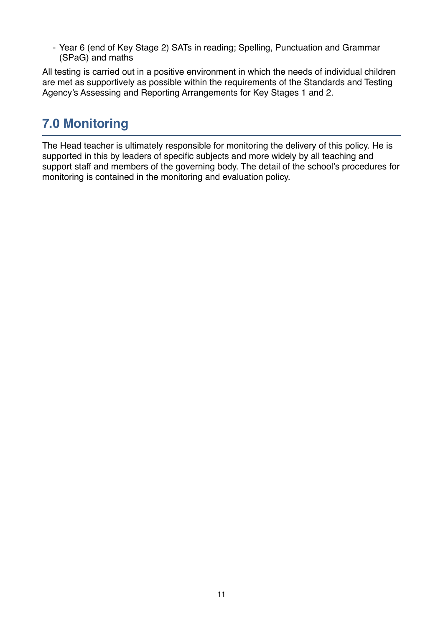- Year 6 (end of Key Stage 2) SATs in reading; Spelling, Punctuation and Grammar (SPaG) and maths

All testing is carried out in a positive environment in which the needs of individual children are met as supportively as possible within the requirements of the Standards and Testing Agency's Assessing and Reporting Arrangements for Key Stages 1 and 2.

# **7.0 Monitoring**

The Head teacher is ultimately responsible for monitoring the delivery of this policy. He is supported in this by leaders of specific subjects and more widely by all teaching and support staff and members of the governing body. The detail of the school's procedures for monitoring is contained in the monitoring and evaluation policy.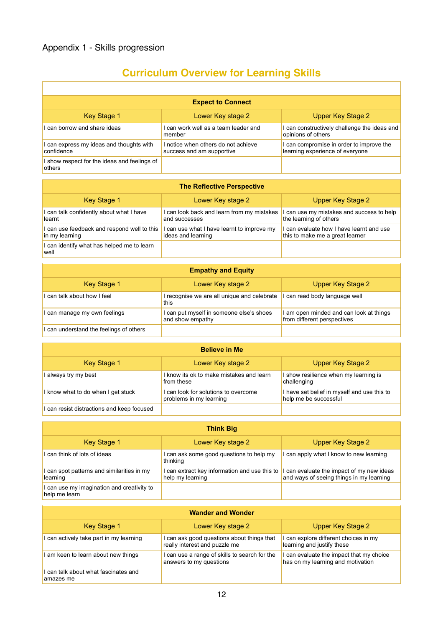$\overline{1}$ 

# **Curriculum Overview for Learning Skills**

٦

| <b>Expect to Connect</b>                               |                                                                  |                                                                             |
|--------------------------------------------------------|------------------------------------------------------------------|-----------------------------------------------------------------------------|
| Key Stage 1                                            | Lower Key stage 2                                                | Upper Key Stage 2                                                           |
| can borrow and share ideas                             | I can work well as a team leader and<br>member                   | I can constructively challenge the ideas and<br>opinions of others          |
| can express my ideas and thoughts with<br>confidence   | I notice when others do not achieve<br>success and am supportive | I can compromise in order to improve the<br>learning experience of everyone |
| I show respect for the ideas and feelings of<br>others |                                                                  |                                                                             |

| <b>The Reflective Perspective</b>                             |                                                                  |                                                                             |  |
|---------------------------------------------------------------|------------------------------------------------------------------|-----------------------------------------------------------------------------|--|
| Key Stage 1                                                   | Lower Key stage 2                                                | Upper Key Stage 2                                                           |  |
| I can talk confidently about what I have<br>learnt            | I can look back and learn from my mistakes<br>and successes      | I can use my mistakes and success to help<br>the learning of others         |  |
| I can use feedback and respond well to this<br>in my learning | I can use what I have learnt to improve my<br>ideas and learning | I can evaluate how I have learnt and use<br>this to make me a great learner |  |
| I can identify what has helped me to learn<br>well            |                                                                  |                                                                             |  |

| <b>Empathy and Equity</b>             |                                                              |                                                                        |
|---------------------------------------|--------------------------------------------------------------|------------------------------------------------------------------------|
| Key Stage 1                           | Lower Key stage 2                                            | Upper Key Stage 2                                                      |
| can talk about how I feel             | I recognise we are all unique and celebrate<br>this          | I can read body language well                                          |
| can manage my own feelings            | I can put myself in someone else's shoes<br>and show empathy | I am open minded and can look at things<br>from different perspectives |
| can understand the feelings of others |                                                              |                                                                        |

| <b>Believe in Me</b>                       |                                                                 |                                                                      |
|--------------------------------------------|-----------------------------------------------------------------|----------------------------------------------------------------------|
| Key Stage 1                                | Lower Key stage 2                                               | Upper Key Stage 2                                                    |
| I always try my best                       | I know its ok to make mistakes and learn<br>from these          | I show resilience when my learning is<br>challenging                 |
| I know what to do when I get stuck         | I can look for solutions to overcome<br>problems in my learning | I have set belief in myself and use this to<br>help me be successful |
| I can resist distractions and keep focused |                                                                 |                                                                      |

| <b>Think Big</b>                                            |                                                                   |                                                                                       |  |
|-------------------------------------------------------------|-------------------------------------------------------------------|---------------------------------------------------------------------------------------|--|
| <b>Key Stage 1</b>                                          | Lower Key stage 2                                                 | Upper Key Stage 2                                                                     |  |
| I can think of lots of ideas                                | I can ask some good questions to help my<br>thinking              | I can apply what I know to new learning                                               |  |
| I can spot patterns and similarities in my<br>learning      | I can extract key information and use this to<br>help my learning | I can evaluate the impact of my new ideas<br>and ways of seeing things in my learning |  |
| I can use my imagination and creativity to<br>help me learn |                                                                   |                                                                                       |  |

| <b>Wander and Wonder</b>                        |                                                                             |                                                                               |
|-------------------------------------------------|-----------------------------------------------------------------------------|-------------------------------------------------------------------------------|
| Key Stage 1                                     | Lower Key stage 2                                                           | Upper Key Stage 2                                                             |
| can actively take part in my learning           | I can ask good questions about things that<br>really interest and puzzle me | I can explore different choices in my<br>learning and justify these           |
| I am keen to learn about new things             | I can use a range of skills to search for the<br>answers to my questions    | I can evaluate the impact that my choice<br>has on my learning and motivation |
| can talk about what fascinates and<br>amazes me |                                                                             |                                                                               |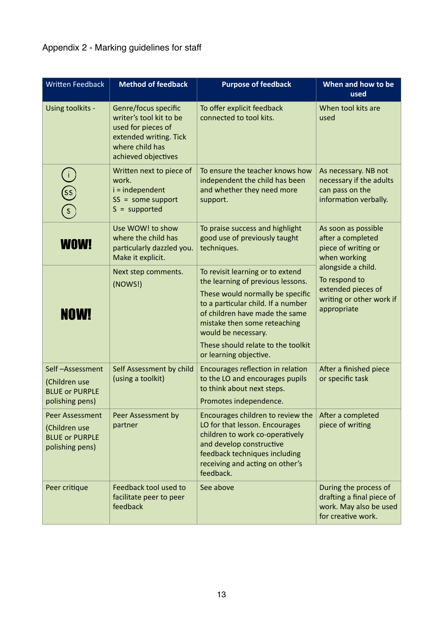### Appendix 2 - Marking guidelines for staff

| <b>Written Feedback</b>                                                             | <b>Method of feedback</b>                                                                                                                 | <b>Purpose of feedback</b>                                                                                                                                                                                                                                                                               | When and how to be<br>used                                                                           |  |
|-------------------------------------------------------------------------------------|-------------------------------------------------------------------------------------------------------------------------------------------|----------------------------------------------------------------------------------------------------------------------------------------------------------------------------------------------------------------------------------------------------------------------------------------------------------|------------------------------------------------------------------------------------------------------|--|
| Using toolkits -                                                                    | Genre/focus specific<br>writer's tool kit to be<br>used for pieces of<br>extended writing. Tick<br>where child has<br>achieved objectives | To offer explicit feedback<br>connected to tool kits.                                                                                                                                                                                                                                                    | When tool kits are<br>used                                                                           |  |
| <u>ઉડ</u><br>$\widehat{\mathsf{S}}$                                                 | Written next to piece of<br>work.<br>$i = independent$<br>$SS = some support$<br>$S = supported$                                          | To ensure the teacher knows how<br>independent the child has been<br>and whether they need more<br>support.                                                                                                                                                                                              | As necessary. NB not<br>necessary if the adults<br>can pass on the<br>information verbally.          |  |
| <b>WOW!</b>                                                                         | Use WOW! to show<br>where the child has<br>particularly dazzled you.<br>Make it explicit.                                                 | To praise success and highlight<br>good use of previously taught<br>techniques.                                                                                                                                                                                                                          | As soon as possible<br>after a completed<br>piece of writing or<br>when working                      |  |
| <b>NOW!</b>                                                                         | Next step comments.<br>(NOWS!)                                                                                                            | To revisit learning or to extend<br>the learning of previous lessons.<br>These would normally be specific<br>to a particular child. If a number<br>of children have made the same<br>mistake then some reteaching<br>would be necessary.<br>These should relate to the toolkit<br>or learning objective. | alongside a child.<br>To respond to<br>extended pieces of<br>writing or other work if<br>appropriate |  |
| Self-Assessment<br>(Children use<br><b>BLUE or PURPLE</b><br>polishing pens)        | Self Assessment by child<br>(using a toolkit)                                                                                             | Encourages reflection in relation<br>to the LO and encourages pupils<br>to think about next steps.<br>Promotes independence.                                                                                                                                                                             | After a finished piece<br>or specific task                                                           |  |
| <b>Peer Assessment</b><br>(Children use<br><b>BLUE or PURPLE</b><br>polishing pens) | Peer Assessment by<br>partner                                                                                                             | Encourages children to review the<br>LO for that lesson. Encourages<br>children to work co-operatively<br>and develop constructive<br>feedback techniques including<br>receiving and acting on other's<br>feedback.                                                                                      | After a completed<br>piece of writing                                                                |  |
| Peer critique                                                                       | Feedback tool used to<br>facilitate peer to peer<br>feedback                                                                              | See above                                                                                                                                                                                                                                                                                                | During the process of<br>drafting a final piece of<br>work. May also be used<br>for creative work.   |  |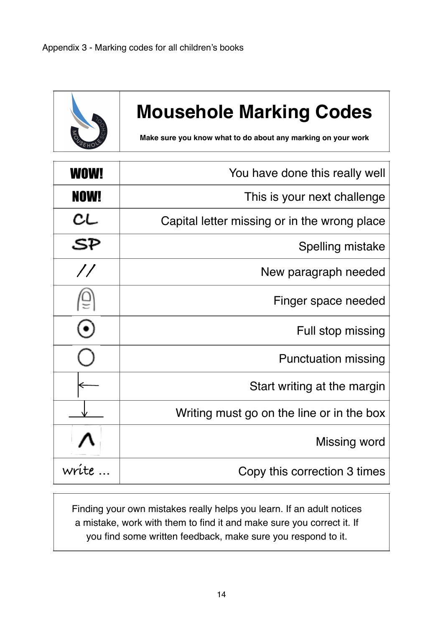

# **Mousehole Marking Codes**

**Make sure you know what to do about any marking on your work**

| WOW!          | You have done this really well               |
|---------------|----------------------------------------------|
| NOW!          | This is your next challenge                  |
| CL            | Capital letter missing or in the wrong place |
| SP            | Spelling mistake                             |
| $\frac{1}{2}$ | New paragraph needed                         |
|               | Finger space needed                          |
|               | Full stop missing                            |
|               | <b>Punctuation missing</b>                   |
|               | Start writing at the margin                  |
|               | Writing must go on the line or in the box    |
|               | Missing word                                 |
| write         | Copy this correction 3 times                 |

Finding your own mistakes really helps you learn. If an adult notices a mistake, work with them to find it and make sure you correct it. If you find some written feedback, make sure you respond to it.